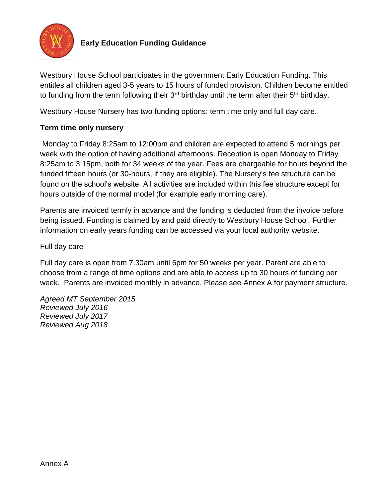

# **Early Education Funding Guidance**

Westbury House School participates in the government Early Education Funding. This entitles all children aged 3-5 years to 15 hours of funded provision. Children become entitled to funding from the term following their  $3<sup>rd</sup>$  birthday until the term after their  $5<sup>th</sup>$  birthday.

Westbury House Nursery has two funding options: term time only and full day care.

## **Term time only nursery**

Monday to Friday 8:25am to 12:00pm and children are expected to attend 5 mornings per week with the option of having additional afternoons. Reception is open Monday to Friday 8:25am to 3:15pm, both for 34 weeks of the year. Fees are chargeable for hours beyond the funded fifteen hours (or 30-hours, if they are eligible). The Nursery's fee structure can be found on the school's website. All activities are included within this fee structure except for hours outside of the normal model (for example early morning care).

Parents are invoiced termly in advance and the funding is deducted from the invoice before being issued. Funding is claimed by and paid directly to Westbury House School. Further information on early years funding can be accessed via your local authority website.

Full day care

Full day care is open from 7.30am until 6pm for 50 weeks per year. Parent are able to choose from a range of time options and are able to access up to 30 hours of funding per week. Parents are invoiced monthly in advance. Please see Annex A for payment structure.

*Agreed MT September 2015 Reviewed July 2016 Reviewed July 2017 Reviewed Aug 2018*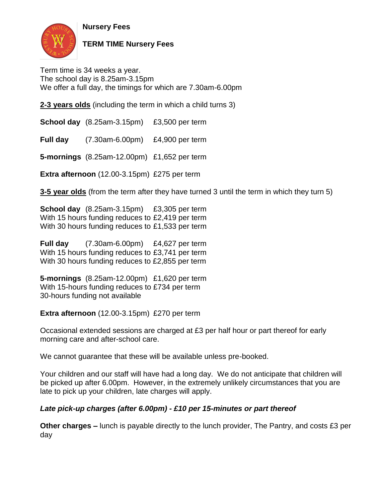**Nursery Fees**



**TERM TIME Nursery Fees**

Term time is 34 weeks a year. The school day is 8.25am-3.15pm We offer a full day, the timings for which are 7.30am-6.00pm

**2-3 years olds** (including the term in which a child turns 3)

**School day** (8.25am-3.15pm) £3,500 per term

**Full day** (7.30am-6.00pm) £4,900 per term

**5-mornings** (8.25am-12.00pm) £1,652 per term

**Extra afternoon** (12.00-3.15pm) £275 per term

**3-5 year olds** (from the term after they have turned 3 until the term in which they turn 5)

**School day** (8.25am-3.15pm) £3,305 per term With 15 hours funding reduces to £2,419 per term With 30 hours funding reduces to £1,533 per term

**Full day** (7.30am-6.00pm) £4,627 per term With 15 hours funding reduces to £3,741 per term With 30 hours funding reduces to £2,855 per term

**5-mornings** (8.25am-12.00pm) £1,620 per term With 15-hours funding reduces to £734 per term 30-hours funding not available

**Extra afternoon** (12.00-3.15pm) £270 per term

Occasional extended sessions are charged at £3 per half hour or part thereof for early morning care and after-school care.

We cannot guarantee that these will be available unless pre-booked.

Your children and our staff will have had a long day. We do not anticipate that children will be picked up after 6.00pm. However, in the extremely unlikely circumstances that you are late to pick up your children, late charges will apply.

# *Late pick-up charges (after 6.00pm) - £10 per 15-minutes or part thereof*

**Other charges –** lunch is payable directly to the lunch provider, The Pantry, and costs £3 per day